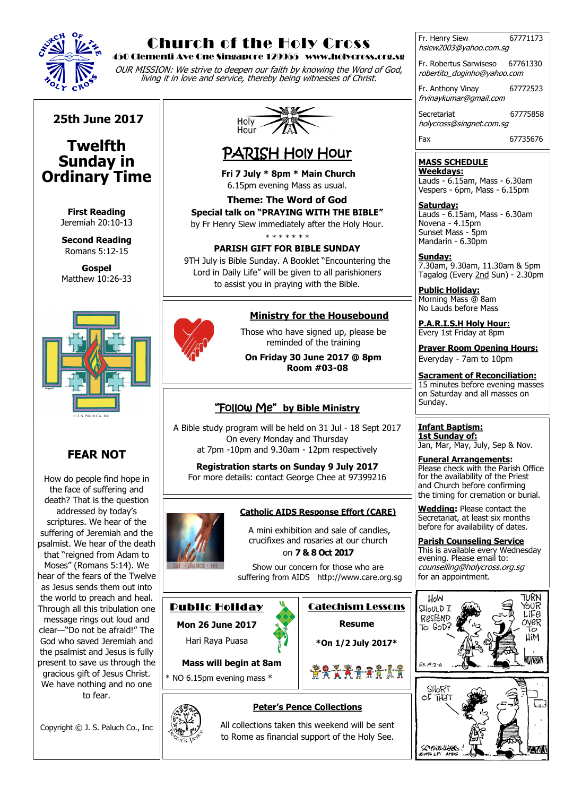

## Church of the Holy Cross

450 Clementi Ave One Singapore 129955 www.holycross.org.sg

OUR MISSION: We strive to deepen our faith by knowing the Word of God, living it in love and service, thereby being witnesses of Christ.

**25th June 2017**

### **Twelfth Sunday in Ordinary Time**

**First Reading**  Jeremiah 20:10-13

**Second Reading** Romans 5:12-15

**Gospel** Matthew 10:26-33



### **FEAR NOT**

How do people find hope in the face of suffering and death? That is the question addressed by today's scriptures. We hear of the suffering of Jeremiah and the psalmist. We hear of the death that "reigned from Adam to Moses" (Romans 5:14). We hear of the fears of the Twelve as Jesus sends them out into the world to preach and heal. Through all this tribulation one message rings out loud and clear—"Do not be afraid!" The God who saved Jeremiah and the psalmist and Jesus is fully present to save us through the gracious gift of Jesus Christ. We have nothing and no one to fear.

Copyright © J. S. Paluch Co., Inc



# PARISH Holy Hour

**Fri 7 July \* 8pm \* Main Church** 6.15pm evening Mass as usual.

 **Theme: The Word of God Special talk on "PRAYING WITH THE BIBLE"** by Fr Henry Siew immediately after the Holy Hour.

\* \* \* \* \* \* \*

#### **PARISH GIFT FOR BIBLE SUNDAY**

9TH July is Bible Sunday. A Booklet "Encountering the Lord in Daily Life" will be given to all parishioners to assist you in praying with the Bible.

### **Ministry for the Housebound**

Those who have signed up, please be reminded of the training

**On Friday 30 June 2017 @ 8pm Room #03-08**

### "Follow Me" **by Bible Ministry**

A Bible study program will be held on 31 Jul - 18 Sept 2017 On every Monday and Thursday at 7pm -10pm and 9.30am - 12pm respectively

**Registration starts on Sunday 9 July 2017** For more details: contact George Chee at 97399216

### **Catholic AIDS Response Effort (CARE)**

A mini exhibition and sale of candles, crucifixes and rosaries at our church on **7 & 8 Oct 2017** 

Show our concern for those who are suffering from AIDS [http://www.care.org.sg](http://www.care.org.sg/)

**Peter's Pence Collections**

### Public Holiday

**Mon 26 June 2017** 

Hari Raya Puasa

**Mass will begin at 8am**

\* NO 6.15pm evening mass \*





Catechism Lessons

hsiew2003@yahoo.com.sg Fr. Robertus Sarwiseso 67761330 robertito\_doginho@yahoo.com

Fr. Henry Siew 67771173

Fr. Anthony Vinay 67772523 frvinaykumar@gmail.com

Secretariat 67775858 holycross@singnet.com.sg

Fax 67735676

#### **MASS SCHEDULE Weekdays:**

Lauds - 6.15am, Mass - 6.30am Vespers - 6pm, Mass - 6.15pm

**Saturday:** Lauds - 6.15am, Mass - 6.30am Novena - 4.15pm Sunset Mass - 5pm Mandarin - 6.30pm

**Sunday:** 7.30am, 9.30am, 11.30am & 5pm Tagalog (Every 2nd Sun) - 2.30pm

**Public Holiday:**  Morning Mass @ 8am No Lauds before Mass

**P.A.R.I.S.H Holy Hour:** Every 1st Friday at 8pm

**Prayer Room Opening Hours:** Everyday - 7am to 10pm

**Sacrament of Reconciliation:** 15 minutes before evening masses on Saturday and all masses on Sunday.

**Infant Baptism: 1st Sunday of:** Jan, Mar, May, July, Sep & Nov.

**Funeral Arrangements:**  Please check with the Parish Office for the availability of the Priest and Church before confirming the timing for cremation or burial.

**Wedding:** Please contact the Secretariat, at least six months before for availability of dates.

**Parish Counseling Service** This is available every Wednesday evening. Please email to: counselling@holycross.org.sg for an appointment.



All collections taken this weekend will be sent to Rome as financial support of the Holy See.